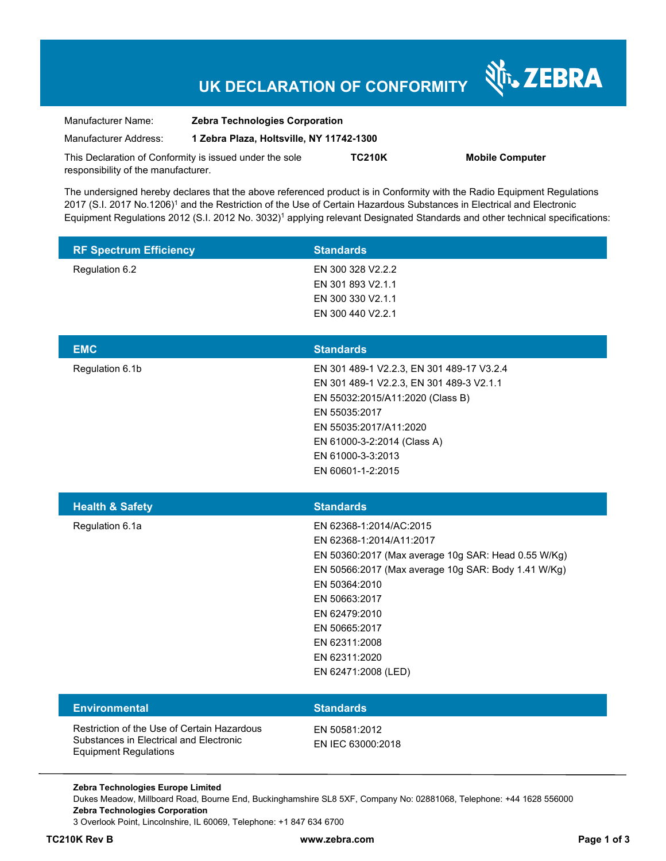# **UK DECLARATION OF CONFORMITY**

Nr. ZEBRA

| Manufacturer Name:                                      | <b>Zebra Technologies Corporation</b>    |               |                        |  |
|---------------------------------------------------------|------------------------------------------|---------------|------------------------|--|
| Manufacturer Address:                                   | 1 Zebra Plaza, Holtsville, NY 11742-1300 |               |                        |  |
| This Declaration of Conformity is issued under the sole |                                          | <b>TC210K</b> | <b>Mobile Computer</b> |  |
| responsibility of the manufacturer.                     |                                          |               |                        |  |

The undersigned hereby declares that the above referenced product is in Conformity with the Radio Equipment Regulations 2017 (S.I. 2017 No.1206)<sup>1</sup> and the Restriction of the Use of Certain Hazardous Substances in Electrical and Electronic Equipment Regulations 2012 (S.I. 2012 No. 3032)<sup>1</sup> applying relevant Designated Standards and other technical specifications:

| <b>RF Spectrum Efficiency</b>                                                                                          | <b>Standards</b>                                                                                                                                                                                                                                                                               |
|------------------------------------------------------------------------------------------------------------------------|------------------------------------------------------------------------------------------------------------------------------------------------------------------------------------------------------------------------------------------------------------------------------------------------|
| Regulation 6.2                                                                                                         | EN 300 328 V2.2.2<br>EN 301 893 V2.1.1<br>EN 300 330 V2.1.1<br>EN 300 440 V2.2.1                                                                                                                                                                                                               |
| <b>EMC</b>                                                                                                             | <b>Standards</b>                                                                                                                                                                                                                                                                               |
| Regulation 6.1b                                                                                                        | EN 301 489-1 V2.2.3, EN 301 489-17 V3.2.4<br>EN 301 489-1 V2.2.3, EN 301 489-3 V2.1.1<br>EN 55032:2015/A11:2020 (Class B)<br>EN 55035:2017<br>EN 55035:2017/A11:2020<br>EN 61000-3-2:2014 (Class A)<br>EN 61000-3-3:2013<br>EN 60601-1-2:2015                                                  |
| <b>Health &amp; Safety</b>                                                                                             | <b>Standards</b>                                                                                                                                                                                                                                                                               |
| Regulation 6.1a                                                                                                        | EN 62368-1:2014/AC:2015<br>EN 62368-1:2014/A11:2017<br>EN 50360:2017 (Max average 10g SAR: Head 0.55 W/Kg)<br>EN 50566:2017 (Max average 10g SAR: Body 1.41 W/Kg)<br>EN 50364:2010<br>EN 50663:2017<br>EN 62479:2010<br>EN 50665:2017<br>EN 62311:2008<br>EN 62311:2020<br>EN 62471:2008 (LED) |
| <b>Environmental</b>                                                                                                   | <b>Standards</b>                                                                                                                                                                                                                                                                               |
| Restriction of the Use of Certain Hazardous<br>Substances in Electrical and Electronic<br><b>Equipment Regulations</b> | EN 50581:2012<br>EN IEC 63000:2018                                                                                                                                                                                                                                                             |
| Zebra Technologies Europe Limited                                                                                      |                                                                                                                                                                                                                                                                                                |

**Zebra Technologies Corporation**  3 Overlook Point, Lincolnshire, IL 60069, Telephone: +1 847 634 6700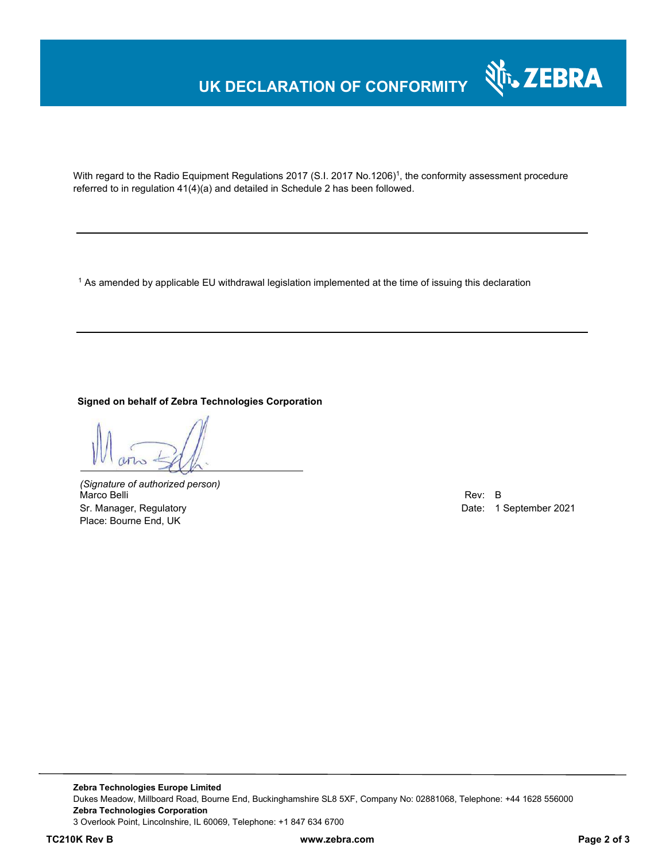## **UK DECLARATION OF CONFORMITY**



With regard to the Radio Equipment Regulations 2017 (S.I. 2017 No.1206)<sup>1</sup>, the conformity assessment procedure referred to in regulation 41(4)(a) and detailed in Schedule 2 has been followed.

 $^{\rm 1}$  As amended by applicable EU withdrawal legislation implemented at the time of issuing this declaration

**Signed on behalf of Zebra Technologies Corporation** 

*(Signature of authorized person)* Marco Belli Rev: B and Rev: B and Rev: B and Rev: B and Rev: B and Rev: B and Rev: B and Rev: B and Rev: B and Rev: B Sr. Manager, Regulatory Date: 1 September 2021 Place: Bourne End, UK